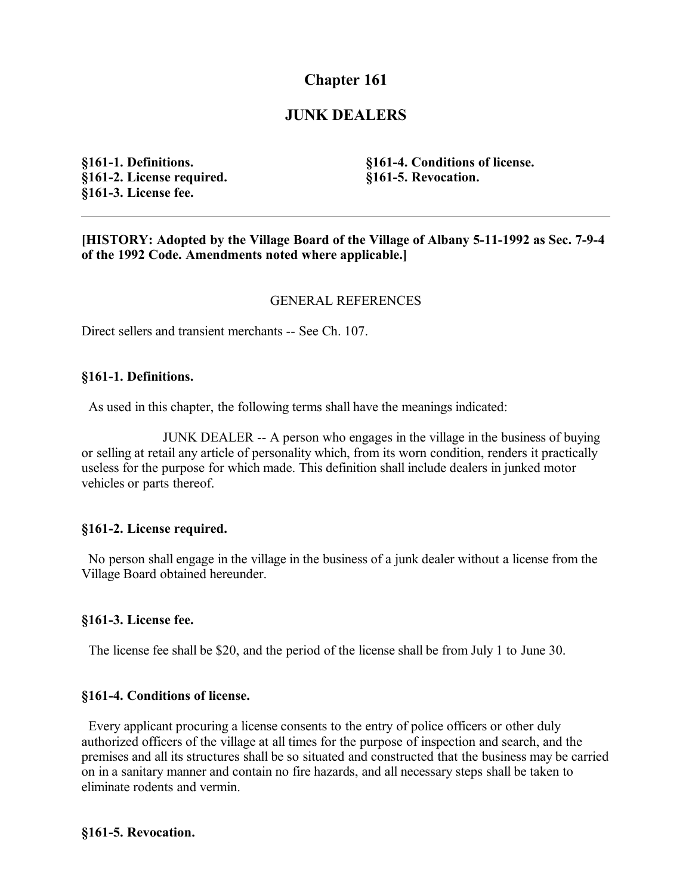# **Chapter 161**

## **JUNK DEALERS**

**§161-1. Definitions. §161-2. License required. §161-3. License fee.**

**§161-4. Conditions of license. §161-5. Revocation.**

**[HISTORY: Adopted by the Village Board of the Village of Albany 5-11-1992 as Sec. 7-9-4 of the 1992 Code. Amendments noted where applicable.]**

## GENERAL REFERENCES

Direct sellers and transient merchants -- See Ch. 107.

### **§161-1. Definitions.**

As used in this chapter, the following terms shall have the meanings indicated:

JUNK DEALER -- A person who engages in the village in the business of buying or selling at retail any article of personality which, from its worn condition, renders it practically useless for the purpose for which made. This definition shall include dealers in junked motor vehicles or parts thereof.

## **§161-2. License required.**

 No person shall engage in the village in the business of a junk dealer without a license from the Village Board obtained hereunder.

#### **§161-3. License fee.**

The license fee shall be \$20, and the period of the license shall be from July 1 to June 30.

## **§161-4. Conditions of license.**

 Every applicant procuring a license consents to the entry of police officers or other duly authorized officers of the village at all times for the purpose of inspection and search, and the premises and all its structures shall be so situated and constructed that the business may be carried on in a sanitary manner and contain no fire hazards, and all necessary steps shall be taken to eliminate rodents and vermin.